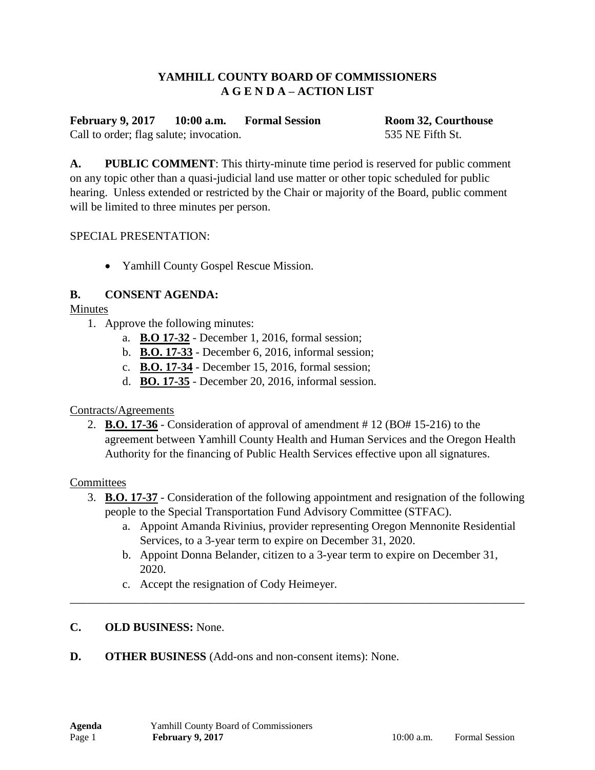## **YAMHILL COUNTY BOARD OF COMMISSIONERS A G E N D A – ACTION LIST**

**February 9, 2017 10:00 a.m. Formal Session Room 32, Courthouse** Call to order; flag salute; invocation. 535 NE Fifth St.

**A. PUBLIC COMMENT**: This thirty-minute time period is reserved for public comment on any topic other than a quasi-judicial land use matter or other topic scheduled for public hearing. Unless extended or restricted by the Chair or majority of the Board, public comment will be limited to three minutes per person.

#### SPECIAL PRESENTATION:

• Yamhill County Gospel Rescue Mission.

## **B. CONSENT AGENDA:**

#### Minutes

- 1. Approve the following minutes:
	- a. **B.O 17-32** December 1, 2016, formal session;
	- b. **B.O. 17-33** December 6, 2016, informal session;
	- c. **B.O. 17-34** December 15, 2016, formal session;
	- d. **BO. 17-35** December 20, 2016, informal session.

## Contracts/Agreements

2. **B.O. 17-36** - Consideration of approval of amendment # 12 (BO# 15-216) to the agreement between Yamhill County Health and Human Services and the Oregon Health Authority for the financing of Public Health Services effective upon all signatures.

## **Committees**

- 3. **B.O. 17-37** Consideration of the following appointment and resignation of the following people to the Special Transportation Fund Advisory Committee (STFAC).
	- a. Appoint Amanda Rivinius, provider representing Oregon Mennonite Residential Services, to a 3-year term to expire on December 31, 2020.
	- b. Appoint Donna Belander, citizen to a 3-year term to expire on December 31, 2020.

\_\_\_\_\_\_\_\_\_\_\_\_\_\_\_\_\_\_\_\_\_\_\_\_\_\_\_\_\_\_\_\_\_\_\_\_\_\_\_\_\_\_\_\_\_\_\_\_\_\_\_\_\_\_\_\_\_\_\_\_\_\_\_\_\_\_\_\_\_\_\_\_\_\_\_\_\_\_

c. Accept the resignation of Cody Heimeyer.

## **C. OLD BUSINESS:** None.

**D. OTHER BUSINESS** (Add-ons and non-consent items): None.